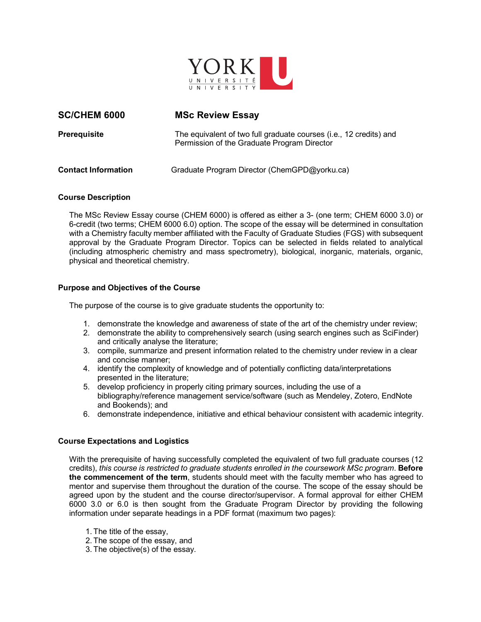

# **SC/CHEM 6000 MSc Review Essay**

**Prerequisite** The equivalent of two full graduate courses (i.e., 12 credits) and Permission of the Graduate Program Director

**Contact Information** Graduate Program Director (ChemGPD@yorku.ca)

# **Course Description**

The MSc Review Essay course (CHEM 6000) is offered as either a 3- (one term; CHEM 6000 3.0) or 6-credit (two terms; CHEM 6000 6.0) option. The scope of the essay will be determined in consultation with a Chemistry faculty member affiliated with the Faculty of Graduate Studies (FGS) with subsequent approval by the Graduate Program Director. Topics can be selected in fields related to analytical (including atmospheric chemistry and mass spectrometry), biological, inorganic, materials, organic, physical and theoretical chemistry.

# **Purpose and Objectives of the Course**

The purpose of the course is to give graduate students the opportunity to:

- 1. demonstrate the knowledge and awareness of state of the art of the chemistry under review;
- 2. demonstrate the ability to comprehensively search (using search engines such as SciFinder) and critically analyse the literature;
- 3. compile, summarize and present information related to the chemistry under review in a clear and concise manner;
- 4. identify the complexity of knowledge and of potentially conflicting data/interpretations presented in the literature;
- 5. develop proficiency in properly citing primary sources, including the use of a bibliography/reference management service/software (such as Mendeley, Zotero, EndNote and Bookends); and
- 6. demonstrate independence, initiative and ethical behaviour consistent with academic integrity.

## **Course Expectations and Logistics**

With the prerequisite of having successfully completed the equivalent of two full graduate courses (12 credits), *this course is restricted to graduate students enrolled in the coursework MSc program*. **Before the commencement of the term**, students should meet with the faculty member who has agreed to mentor and supervise them throughout the duration of the course. The scope of the essay should be agreed upon by the student and the course director/supervisor. A formal approval for either CHEM 6000 3.0 or 6.0 is then sought from the Graduate Program Director by providing the following information under separate headings in a PDF format (maximum two pages):

- 1. The title of the essay,
- 2. The scope of the essay, and
- 3. The objective(s) of the essay.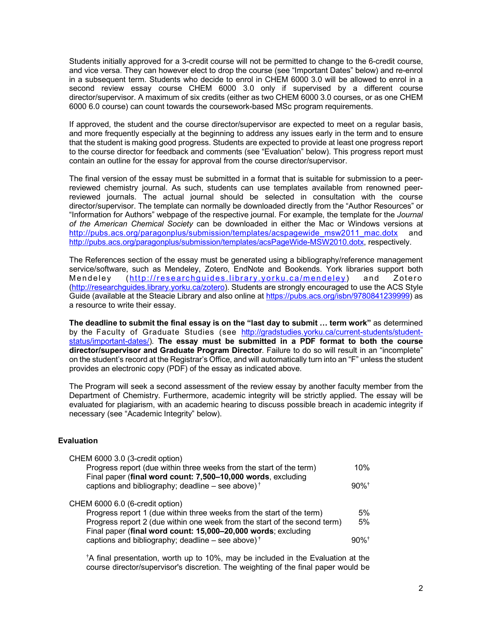Students initially approved for a 3-credit course will not be permitted to change to the 6-credit course, and vice versa. They can however elect to drop the course (see "Important Dates" below) and re-enrol in a subsequent term. Students who decide to enrol in CHEM 6000 3.0 will be allowed to enrol in a second review essay course CHEM 6000 3.0 only if supervised by a different course director/supervisor. A maximum of six credits (either as two CHEM 6000 3.0 courses, or as one CHEM 6000 6.0 course) can count towards the coursework-based MSc program requirements.

If approved, the student and the course director/supervisor are expected to meet on a regular basis, and more frequently especially at the beginning to address any issues early in the term and to ensure that the student is making good progress. Students are expected to provide at least one progress report to the course director for feedback and comments (see "Evaluation" below). This progress report must contain an outline for the essay for approval from the course director/supervisor.

The final version of the essay must be submitted in a format that is suitable for submission to a peerreviewed chemistry journal. As such, students can use templates available from renowned peerreviewed journals. The actual journal should be selected in consultation with the course director/supervisor. The template can normally be downloaded directly from the "Author Resources" or "Information for Authors" webpage of the respective journal. For example, the template for the *Journal of the American Chemical Society* can be downloaded in either the Mac or Windows versions at http://pubs.acs.org/paragonplus/submission/templates/acspagewide\_msw2011\_mac.dotx and http://pubs.acs.org/paragonplus/submission/templates/acsPageWide-MSW2010.dotx, respectively.

The References section of the essay must be generated using a bibliography/reference management service/software, such as Mendeley, Zotero, EndNote and Bookends. York libraries support both Mendeley (http://researchguides.library.yorku.ca/mendeley) and Zotero (http://researchguides.library.yorku.ca/zotero). Students are strongly encouraged to use the ACS Style Guide (available at the Steacie Library and also online at https://pubs.acs.org/isbn/9780841239999) as a resource to write their essay.

**The deadline to submit the final essay is on the "last day to submit … term work"** as determined by the Faculty of Graduate Studies (see http://gradstudies.yorku.ca/current-students/studentstatus/important-dates/). **The essay must be submitted in a PDF format to both the course director/supervisor and Graduate Program Director**. Failure to do so will result in an "incomplete" on the student's record at the Registrar's Office, and will automatically turn into an "F" unless the student provides an electronic copy (PDF) of the essay as indicated above.

The Program will seek a second assessment of the review essay by another faculty member from the Department of Chemistry. Furthermore, academic integrity will be strictly applied. The essay will be evaluated for plagiarism, with an academic hearing to discuss possible breach in academic integrity if necessary (see "Academic Integrity" below).

# **Evaluation**

| CHEM 6000 3.0 (3-credit option)                                                  |                     |
|----------------------------------------------------------------------------------|---------------------|
| Progress report (due within three weeks from the start of the term)              | 10%                 |
| Final paper (final word count: 7,500-10,000 words, excluding                     |                     |
| captions and bibliography; deadline – see above) <sup><math>\dagger</math></sup> | $90\%$ <sup>†</sup> |
| CHEM 6000 6.0 (6-credit option)                                                  |                     |
| Progress report 1 (due within three weeks from the start of the term)            | 5%                  |
| Progress report 2 (due within one week from the start of the second term)        | 5%                  |
| Final paper (final word count: 15,000-20,000 words; excluding                    |                     |
| captions and bibliography; deadline – see above) <sup>†</sup>                    | $90\%$ <sup>†</sup> |
|                                                                                  |                     |

**†** A final presentation, worth up to 10%, may be included in the Evaluation at the course director/supervisor's discretion. The weighting of the final paper would be